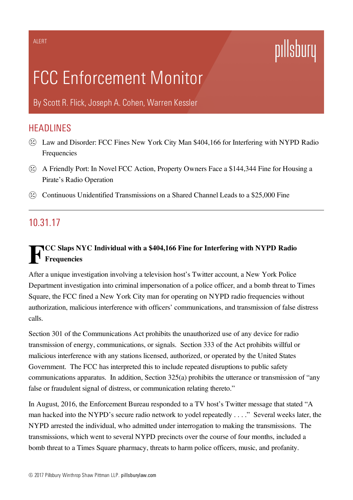# pillsbury

# FCC Enforcement Monitor

By [Scott](https://www.pillsburylaw.com/en/lawyers/scott-flick.html) R. Flick, [Joseph](https://www.pillsburylaw.com/en/lawyers/joseph-cohen.html) A. Cohen, [Warren](https://www.pillsburylaw.com/en/lawyers/warren-kessler.html) Kessler

### **HEADLINES**

- Law and Disorder: FCC Fines New York City Man \$404,166 for Interfering with NYPD Radio Frequencies
- A Friendly Port: In Novel FCC Action, Property Owners Face a \$144,344 Fine for Housing a Pirate's Radio Operation
- $\Omega$  Continuous Unidentified Transmissions on a Shared Channel Leads to a \$25,000 Fine

### 10.31.17

## FICC Slaps NYC Individual with a \$404,166 Fine for Interfering with NYPD Radio<br>Frequencies **Frequencies**

After a unique investigation involving a television host's Twitter account, a New York Police Department investigation into criminal impersonation of a police officer, and a bomb threat to Times Square, the FCC fined a New York City man for operating on NYPD radio frequencies without authorization, malicious interference with officers' communications, and transmission of false distress calls.

Section 301 of the Communications Act prohibits the unauthorized use of any device for radio transmission of energy, communications, or signals. Section 333 of the Act prohibits willful or malicious interference with any stations licensed, authorized, or operated by the United States Government. The FCC has interpreted this to include repeated disruptions to public safety communications apparatus. In addition, Section 325(a) prohibits the utterance or transmission of "any false or fraudulent signal of distress, or communication relating thereto."

In August, 2016, the Enforcement Bureau responded to a TV host's Twitter message that stated "A man hacked into the NYPD's secure radio network to yodel repeatedly . . . ." Several weeks later, the NYPD arrested the individual, who admitted under interrogation to making the transmissions. The transmissions, which went to several NYPD precincts over the course of four months, included a bomb threat to a Times Square pharmacy, threats to harm police officers, music, and profanity.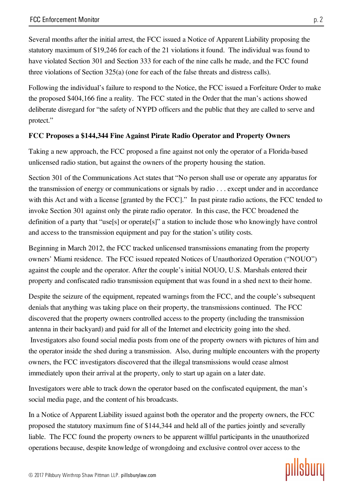Several months after the initial arrest, the FCC issued a Notice of Apparent Liability proposing the statutory maximum of \$19,246 for each of the 21 violations it found. The individual was found to have violated Section 301 and Section 333 for each of the nine calls he made, and the FCC found three violations of Section 325(a) (one for each of the false threats and distress calls).

Following the individual's failure to respond to the Notice, the FCC issued a Forfeiture Order to make the proposed \$404,166 fine a reality. The FCC stated in the Order that the man's actions showed deliberate disregard for "the safety of NYPD officers and the public that they are called to serve and protect."

#### FCC Proposes a \$144,344 Fine Against Pirate Radio Operator and Property Owners

Taking a new approach, the FCC proposed a fine against not only the operator of a Florida-based unlicensed radio station, but against the owners of the property housing the station.

Section 301 of the Communications Act states that "No person shall use or operate any apparatus for the transmission of energy or communications or signals by radio . . . except under and in accordance with this Act and with a license [granted by the FCC]." In past pirate radio actions, the FCC tended to invoke Section 301 against only the pirate radio operator. In this case, the FCC broadened the definition of a party that "use[s] or operate[s]" a station to include those who knowingly have control and access to the transmission equipment and pay for the station's utility costs.

Beginning in March 2012, the FCC tracked unlicensed transmissions emanating from the property owners' Miami residence. The FCC issued repeated Notices of Unauthorized Operation ("NOUO") against the couple and the operator. After the couple's initial NOUO, U.S. Marshals entered their property and confiscated radio transmission equipment that was found in a shed next to their home.

Despite the seizure of the equipment, repeated warnings from the FCC, and the couple's subsequent denials that anything was taking place on their property, the transmissions continued. The FCC discovered that the property owners controlled access to the property (including the transmission antenna in their backyard) and paid for all of the Internet and electricity going into the shed. Investigators also found social media posts from one of the property owners with pictures of him and the operator inside the shed during a transmission. Also, during multiple encounters with the property owners, the FCC investigators discovered that the illegal transmissions would cease almost immediately upon their arrival at the property, only to start up again on a later date.

Investigators were able to track down the operator based on the confiscated equipment, the man's social media page, and the content of his broadcasts.

In a Notice of Apparent Liability issued against both the operator and the property owners, the FCC proposed the statutory maximum fine of \$144,344 and held all of the parties jointly and severally liable. The FCC found the property owners to be apparent willful participants in the unauthorized operations because, despite knowledge of wrongdoing and exclusive control over access to the